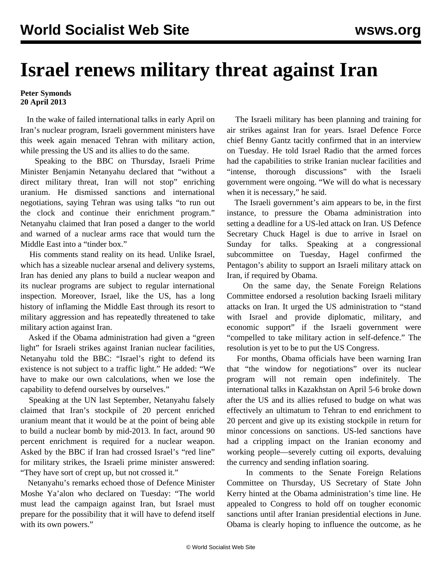## **Israel renews military threat against Iran**

## **Peter Symonds 20 April 2013**

 In the wake of failed international talks in early April on Iran's nuclear program, Israeli government ministers have this week again menaced Tehran with military action, while pressing the US and its allies to do the same.

 Speaking to the BBC on Thursday, Israeli Prime Minister Benjamin Netanyahu declared that "without a direct military threat, Iran will not stop" enriching uranium. He dismissed sanctions and international negotiations, saying Tehran was using talks "to run out the clock and continue their enrichment program." Netanyahu claimed that Iran posed a danger to the world and warned of a nuclear arms race that would turn the Middle East into a "tinder box."

 His comments stand reality on its head. Unlike Israel, which has a sizeable nuclear arsenal and delivery systems, Iran has denied any plans to build a nuclear weapon and its nuclear programs are subject to regular international inspection. Moreover, Israel, like the US, has a long history of inflaming the Middle East through its resort to military aggression and has repeatedly threatened to take military action against Iran.

 Asked if the Obama administration had given a "green light" for Israeli strikes against Iranian nuclear facilities, Netanyahu told the BBC: "Israel's right to defend its existence is not subject to a traffic light." He added: "We have to make our own calculations, when we lose the capability to defend ourselves by ourselves."

 Speaking at the UN last September, Netanyahu falsely claimed that Iran's stockpile of 20 percent enriched uranium meant that it would be at the point of being able to build a nuclear bomb by mid-2013. In fact, around 90 percent enrichment is required for a nuclear weapon. Asked by the BBC if Iran had crossed Israel's "red line" for military strikes, the Israeli prime minister answered: "They have sort of crept up, but not crossed it."

 Netanyahu's remarks echoed those of Defence Minister Moshe Ya'alon who declared on Tuesday: "The world must lead the campaign against Iran, but Israel must prepare for the possibility that it will have to defend itself with its own powers."

 The Israeli military has been planning and training for air strikes against Iran for years. Israel Defence Force chief Benny Gantz tacitly confirmed that in an interview on Tuesday. He told Israel Radio that the armed forces had the capabilities to strike Iranian nuclear facilities and "intense, thorough discussions" with the Israeli government were ongoing. "We will do what is necessary when it is necessary," he said.

 The Israeli government's aim appears to be, in the first instance, to pressure the Obama administration into setting a deadline for a US-led attack on Iran. US Defence Secretary Chuck Hagel is due to arrive in Israel on Sunday for talks. Speaking at a congressional subcommittee on Tuesday, Hagel confirmed the Pentagon's ability to support an Israeli military attack on Iran, if required by Obama.

 On the same day, the Senate Foreign Relations Committee endorsed a resolution backing Israeli military attacks on Iran. It urged the US administration to "stand with Israel and provide diplomatic, military, and economic support" if the Israeli government were "compelled to take military action in self-defence." The resolution is yet to be to put the US Congress.

 For months, Obama officials have been warning Iran that "the window for negotiations" over its nuclear program will not remain open indefinitely. The international talks in Kazakhstan on April 5-6 broke down after the US and its allies refused to budge on what was effectively an ultimatum to Tehran to end enrichment to 20 percent and give up its existing stockpile in return for minor concessions on sanctions. US-led sanctions have had a crippling impact on the Iranian economy and working people—severely cutting oil exports, devaluing the currency and sending inflation soaring.

 In comments to the Senate Foreign Relations Committee on Thursday, US Secretary of State John Kerry hinted at the Obama administration's time line. He appealed to Congress to hold off on tougher economic sanctions until after Iranian presidential elections in June. Obama is clearly hoping to influence the outcome, as he